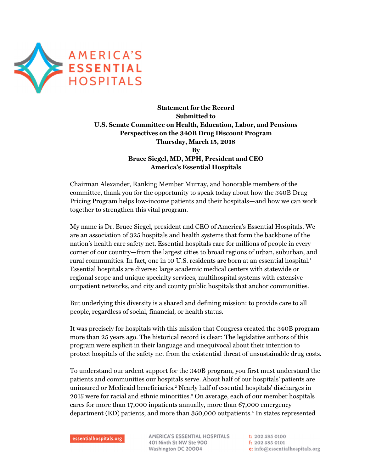

**Statement for the Record Submitted to U.S. Senate Committee on Health, Education, Labor, and Pensions Perspectives on the 340B Drug Discount Program Thursday, March 15, 2018 By Bruce Siegel, MD, MPH, President and CEO America's Essential Hospitals** 

Chairman Alexander, Ranking Member Murray, and honorable members of the committee, thank you for the opportunity to speak today about how the 340B Drug Pricing Program helps low-income patients and their hospitals—and how we can work together to strengthen this vital program.

My name is Dr. Bruce Siegel, president and CEO of America's Essential Hospitals. We are an association of 325 hospitals and health systems that form the backbone of the nation's health care safety net. Essential hospitals care for millions of people in every corner of our country—from the largest cities to broad regions of urban, suburban, and rural communities. In fact, one in 10 U.S. residents are born at an essential hospital.<sup>1</sup> Essential hospitals are diverse: large academic medical centers with statewide or regional scope and unique specialty services, multihospital systems with extensive outpatient networks, and city and county public hospitals that anchor communities.

But underlying this diversity is a shared and defining mission: to provide care to all people, regardless of social, financial, or health status.

It was precisely for hospitals with this mission that Congress created the 340B program more than 25 years ago. The historical record is clear: The legislative authors of this program were explicit in their language and unequivocal about their intention to protect hospitals of the safety net from the existential threat of unsustainable drug costs.

To understand our ardent support for the 340B program, you first must understand the patients and communities our hospitals serve. About half of our hospitals' patients are uninsured or Medicaid beneficiaries.<sup>2</sup> Nearly half of essential hospitals' discharges in 2015 were for racial and ethnic minorities.<sup>3</sup> On average, each of our member hospitals cares for more than 17,000 inpatients annually, more than 67,000 emergency department (ED) patients, and more than 350,000 outpatients.<sup>4</sup> In states represented

AMERICA'S ESSENTIAL HOSPITALS 401 Ninth St NW Ste 900 Washington DC 20004

t: 202 585 0100 f: 202 585 0101 e: info@essentialhospitals.org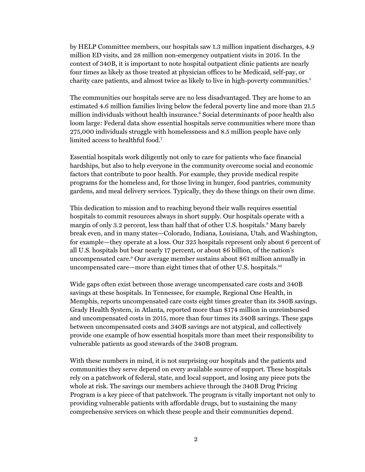by HELP Committee members, our hospitals saw 1.3 million inpatient discharges, 4.9 million ED visits, and 28 million non-emergency outpatient visits in 2016. In the context of 340B, it is important to note hospital outpatient clinic patients are nearly four times as likely as those treated at physician offices to be Medicaid, self-pay, or charity care patients, and almost twice as likely to live in high-poverty communities.<sup>5</sup>

The communities our hospitals serve are no less disadvantaged. They are home to an estimated 4.6 million families living below the federal poverty line and more than 21.5 million individuals without health insurance.<sup>6</sup> Social determinants of poor health also loom large: Federal data show essential hospitals serve communities where more than 275,000 individuals struggle with homelessness and 8.5 million people have only limited access to healthful food.7

Essential hospitals work diligently not only to care for patients who face financial hardships, but also to help everyone in the community overcome social and economic factors that contribute to poor health. For example, they provide medical respite programs for the homeless and, for those living in hunger, food pantries, community gardens, and meal delivery services. Typically, they do these things on their own dime.

This dedication to mission and to reaching beyond their walls requires essential hospitals to commit resources always in short supply. Our hospitals operate with a margin of only 3.2 percent, less than half that of other U.S. hospitals.<sup>8</sup> Many barely break even, and in many states—Colorado, Indiana, Louisiana, Utah, and Washington, for example—they operate at a loss. Our 325 hospitals represent only about 6 percent of all U.S. hospitals but bear nearly 17 percent, or about \$6 billion, of the nation's uncompensated care.9 Our average member sustains about \$61 million annually in uncompensated care—more than eight times that of other U.S. hospitals.10

Wide gaps often exist between those average uncompensated care costs and 340B savings at these hospitals. In Tennessee, for example, Regional One Health, in Memphis, reports uncompensated care costs eight times greater than its 340B savings. Grady Health System, in Atlanta, reported more than \$174 million in unreimbursed and uncompensated costs in 2015, more than four times its 340B savings. These gaps between uncompensated costs and 340B savings are not atypical, and collectively provide one example of how essential hospitals more than meet their responsibility to vulnerable patients as good stewards of the 340B program.

With these numbers in mind, it is not surprising our hospitals and the patients and communities they serve depend on every available source of support. These hospitals rely on a patchwork of federal, state, and local support, and losing any piece puts the whole at risk. The savings our members achieve through the 340B Drug Pricing Program is a key piece of that patchwork. The program is vitally important not only to providing vulnerable patients with affordable drugs, but to sustaining the many comprehensive services on which these people and their communities depend.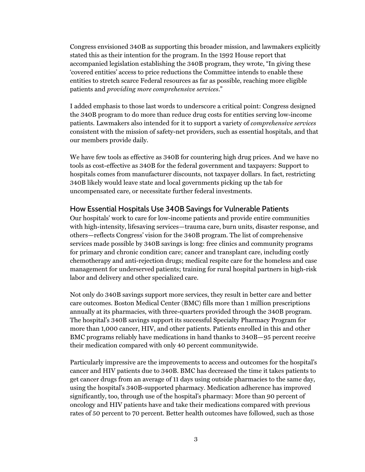Congress envisioned 340B as supporting this broader mission, and lawmakers explicitly stated this as their intention for the program. In the 1992 House report that accompanied legislation establishing the 340B program, they wrote, "In giving these 'covered entities' access to price reductions the Committee intends to enable these entities to stretch scarce Federal resources as far as possible, reaching more eligible patients and *providing more comprehensive services*."

I added emphasis to those last words to underscore a critical point: Congress designed the 340B program to do more than reduce drug costs for entities serving low-income patients. Lawmakers also intended for it to support a variety of *comprehensive services* consistent with the mission of safety-net providers, such as essential hospitals, and that our members provide daily.

We have few tools as effective as 340B for countering high drug prices. And we have no tools as cost-effective as 340B for the federal government and taxpayers: Support to hospitals comes from manufacturer discounts, not taxpayer dollars. In fact, restricting 340B likely would leave state and local governments picking up the tab for uncompensated care, or necessitate further federal investments.

## How Essential Hospitals Use 340B Savings for Vulnerable Patients

Our hospitals' work to care for low-income patients and provide entire communities with high-intensity, lifesaving services—trauma care, burn units, disaster response, and others—reflects Congress' vision for the 340B program. The list of comprehensive services made possible by 340B savings is long: free clinics and community programs for primary and chronic condition care; cancer and transplant care, including costly chemotherapy and anti-rejection drugs; medical respite care for the homeless and case management for underserved patients; training for rural hospital partners in high-risk labor and delivery and other specialized care.

Not only do 340B savings support more services, they result in better care and better care outcomes. Boston Medical Center (BMC) fills more than 1 million prescriptions annually at its pharmacies, with three-quarters provided through the 340B program. The hospital's 340B savings support its successful Specialty Pharmacy Program for more than 1,000 cancer, HIV, and other patients. Patients enrolled in this and other BMC programs reliably have medications in hand thanks to 340B—95 percent receive their medication compared with only 40 percent communitywide.

Particularly impressive are the improvements to access and outcomes for the hospital's cancer and HIV patients due to 340B. BMC has decreased the time it takes patients to get cancer drugs from an average of 11 days using outside pharmacies to the same day, using the hospital's 340B-supported pharmacy. Medication adherence has improved significantly, too, through use of the hospital's pharmacy: More than 90 percent of oncology and HIV patients have and take their medications compared with previous rates of 50 percent to 70 percent. Better health outcomes have followed, such as those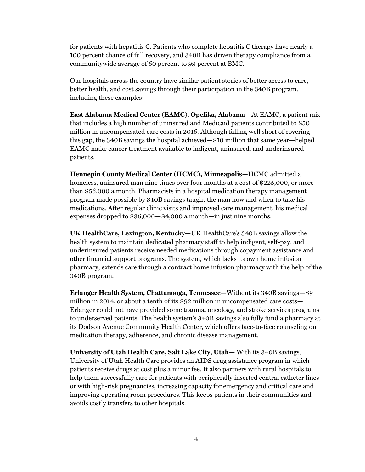for patients with hepatitis C. Patients who complete hepatitis C therapy have nearly a 100 percent chance of full recovery, and 340B has driven therapy compliance from a communitywide average of 60 percent to 99 percent at BMC.

Our hospitals across the country have similar patient stories of better access to care, better health, and cost savings through their participation in the 340B program, including these examples:

**East Alabama Medical Center (EAMC), Opelika, Alabama**—At EAMC, a patient mix that includes a high number of uninsured and Medicaid patients contributed to \$50 million in uncompensated care costs in 2016. Although falling well short of covering this gap, the 340B savings the hospital achieved—\$10 million that same year—helped EAMC make cancer treatment available to indigent, uninsured, and underinsured patients.

**Hennepin County Medical Center (HCMC), Minneapolis**—HCMC admitted a homeless, uninsured man nine times over four months at a cost of \$225,000, or more than \$56,000 a month. Pharmacists in a hospital medication therapy management program made possible by 340B savings taught the man how and when to take his medications. After regular clinic visits and improved care management, his medical expenses dropped to \$36,000—\$4,000 a month—in just nine months.

**UK HealthCare, Lexington, Kentucky**—UK HealthCare's 340B savings allow the health system to maintain dedicated pharmacy staff to help indigent, self-pay, and underinsured patients receive needed medications through copayment assistance and other financial support programs. The system, which lacks its own home infusion pharmacy, extends care through a contract home infusion pharmacy with the help of the 340B program.

**Erlanger Health System, Chattanooga, Tennessee**—Without its 340B savings—\$9 million in 2014, or about a tenth of its \$92 million in uncompensated care costs— Erlanger could not have provided some trauma, oncology, and stroke services programs to underserved patients. The health system's 340B savings also fully fund a pharmacy at its Dodson Avenue Community Health Center, which offers face-to-face counseling on medication therapy, adherence, and chronic disease management.

**University of Utah Health Care, Salt Lake City, Utah**— With its 340B savings, University of Utah Health Care provides an AIDS drug assistance program in which patients receive drugs at cost plus a minor fee. It also partners with rural hospitals to help them successfully care for patients with peripherally inserted central catheter lines or with high-risk pregnancies, increasing capacity for emergency and critical care and improving operating room procedures. This keeps patients in their communities and avoids costly transfers to other hospitals.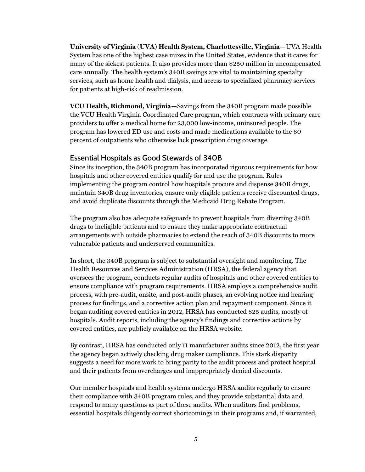**University of Virginia (UVA) Health System, Charlottesville, Virginia**—UVA Health System has one of the highest case mixes in the United States, evidence that it cares for many of the sickest patients. It also provides more than \$250 million in uncompensated care annually. The health system's 340B savings are vital to maintaining specialty services, such as home health and dialysis, and access to specialized pharmacy services for patients at high-risk of readmission.

**VCU Health, Richmond, Virginia**—Savings from the 340B program made possible the VCU Health Virginia Coordinated Care program, which contracts with primary care providers to offer a medical home for 23,000 low-income, uninsured people. The program has lowered ED use and costs and made medications available to the 80 percent of outpatients who otherwise lack prescription drug coverage.

## Essential Hospitals as Good Stewards of 340B

Since its inception, the 340B program has incorporated rigorous requirements for how hospitals and other covered entities qualify for and use the program. Rules implementing the program control how hospitals procure and dispense 340B drugs, maintain 340B drug inventories, ensure only eligible patients receive discounted drugs, and avoid duplicate discounts through the Medicaid Drug Rebate Program.

The program also has adequate safeguards to prevent hospitals from diverting 340B drugs to ineligible patients and to ensure they make appropriate contractual arrangements with outside pharmacies to extend the reach of 340B discounts to more vulnerable patients and underserved communities.

In short, the 340B program is subject to substantial oversight and monitoring. The Health Resources and Services Administration (HRSA), the federal agency that oversees the program, conducts regular audits of hospitals and other covered entities to ensure compliance with program requirements. HRSA employs a comprehensive audit process, with pre-audit, onsite, and post-audit phases, an evolving notice and hearing process for findings, and a corrective action plan and repayment component. Since it began auditing covered entities in 2012, HRSA has conducted 825 audits, mostly of hospitals. Audit reports, including the agency's findings and corrective actions by covered entities, are publicly available on the HRSA website.

By contrast, HRSA has conducted only 11 manufacturer audits since 2012, the first year the agency began actively checking drug maker compliance. This stark disparity suggests a need for more work to bring parity to the audit process and protect hospital and their patients from overcharges and inappropriately denied discounts.

Our member hospitals and health systems undergo HRSA audits regularly to ensure their compliance with 340B program rules, and they provide substantial data and respond to many questions as part of these audits. When auditors find problems, essential hospitals diligently correct shortcomings in their programs and, if warranted,